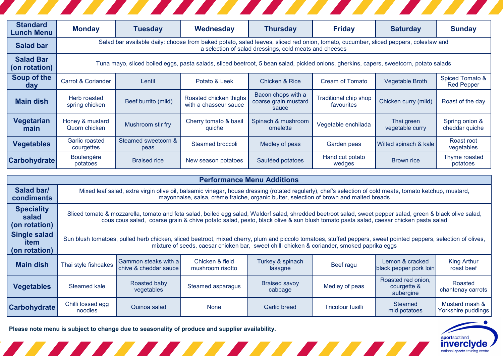| <b>Standard</b><br><b>Lunch Menu</b> | <b>Monday</b>                                                                                                                                                                                 | <b>Tuesday</b>              | Wednesday                                       | <b>Thursday</b>                                     | <b>Friday</b>                              | <b>Saturday</b>               | <b>Sunday</b>                        |  |  |
|--------------------------------------|-----------------------------------------------------------------------------------------------------------------------------------------------------------------------------------------------|-----------------------------|-------------------------------------------------|-----------------------------------------------------|--------------------------------------------|-------------------------------|--------------------------------------|--|--|
| <b>Salad bar</b>                     | Salad bar available daily: choose from baked potato, salad leaves, sliced red onion, tomato, cucumber, sliced peppers, coleslaw and<br>a selection of salad dressings, cold meats and cheeses |                             |                                                 |                                                     |                                            |                               |                                      |  |  |
| <b>Salad Bar</b><br>(on rotation)    | Tuna mayo, sliced boiled eggs, pasta salads, sliced beetroot, 5 bean salad, pickled onions, gherkins, capers, sweetcorn, potato salads                                                        |                             |                                                 |                                                     |                                            |                               |                                      |  |  |
| Soup of the<br>day                   | <b>Carrot &amp; Coriander</b>                                                                                                                                                                 | Lentil                      | Potato & Leek                                   | Chicken & Rice                                      | Cream of Tomato                            | Vegetable Broth               | Spiced Tomato &<br><b>Red Pepper</b> |  |  |
| <b>Main dish</b>                     | Herb roasted<br>spring chicken                                                                                                                                                                | Beef burrito (mild)         | Roasted chicken thighs<br>with a chasseur sauce | Bacon chops with a<br>coarse grain mustard<br>sauce | <b>Traditional chip shop</b><br>favourites | Chicken curry (mild)          | Roast of the day                     |  |  |
| <b>Vegetarian</b><br>main            | Honey & mustard<br>Quorn chicken                                                                                                                                                              | Mushroom stir fry           | Cherry tomato & basil<br>quiche                 | Spinach & mushroom<br>omelette                      | Vegetable enchilada                        | Thai green<br>vegetable curry | Spring onion &<br>cheddar quiche     |  |  |
| <b>Vegetables</b>                    | Garlic roasted<br>courgettes                                                                                                                                                                  | Steamed sweetcorn &<br>peas | Steamed broccoli                                | Medley of peas                                      | Garden peas                                | Wilted spinach & kale         | Roast root<br>vegetables             |  |  |
| <b>Carbohydrate</b>                  | <b>Boulangère</b><br>potatoes                                                                                                                                                                 | <b>Braised rice</b>         | New season potatoes                             | Sautéed potatoes                                    | Hand cut potato<br>wedges                  | Brown rice                    | Thyme roasted<br>potatoes            |  |  |

| <b>Performance Menu Additions</b>            |                                                                                                                                                                                                                                                                                                  |                                                   |                                     |                                 |                   |                                                |                                      |  |  |
|----------------------------------------------|--------------------------------------------------------------------------------------------------------------------------------------------------------------------------------------------------------------------------------------------------------------------------------------------------|---------------------------------------------------|-------------------------------------|---------------------------------|-------------------|------------------------------------------------|--------------------------------------|--|--|
| Salad bar/<br>condiments                     | Mixed leaf salad, extra virgin olive oil, balsamic vinegar, house dressing (rotated regularly), chef's selection of cold meats, tomato ketchup, mustard,<br>mayonnaise, salsa, crème fraiche, organic butter, selection of brown and malted breads                                               |                                                   |                                     |                                 |                   |                                                |                                      |  |  |
| <b>Speciality</b><br>salad<br>(on rotation)  | Sliced tomato & mozzarella, tomato and feta salad, boiled egg salad, Waldorf salad, shredded beetroot salad, sweet pepper salad, green & black olive salad,<br>cous cous salad, coarse grain & chive potato salad, pesto, black olive & sun blush tomato pasta salad, caesar chicken pasta salad |                                                   |                                     |                                 |                   |                                                |                                      |  |  |
| <b>Single salad</b><br>item<br>(on rotation) | Sun blush tomatoes, pulled herb chicken, sliced beetroot, mixed cherry, plum and piccolo tomatoes, stuffed peppers, sweet pointed peppers, selection of olives,<br>mixture of seeds, caesar chicken bar, sweet chilli chicken & coriander, smoked paprika eggs                                   |                                                   |                                     |                                 |                   |                                                |                                      |  |  |
| <b>Main dish</b>                             | Thai style fishcakes                                                                                                                                                                                                                                                                             | l Gammon steaks with a l<br>chive & cheddar sauce | Chicken & field<br>mushroom risotto | Turkey & spinach<br>lasagne     | Beef ragu         | Lemon & cracked<br>black pepper pork loin      | <b>King Arthur</b><br>roast beef     |  |  |
| <b>Vegetables</b>                            | Steamed kale                                                                                                                                                                                                                                                                                     | Roasted baby<br>vegetables                        | Steamed asparagus                   | <b>Braised savoy</b><br>cabbage | Medley of peas    | Roasted red onion,<br>courgette &<br>aubergine | Roasted<br>chantenay carrots         |  |  |
| Carbohydrate                                 | Chilli tossed egg<br>noodles                                                                                                                                                                                                                                                                     | Quinoa salad                                      | <b>None</b>                         | Garlic bread                    | Tricolour fusilli | <b>Steamed</b><br>mid potatoes                 | Mustard mash &<br>Yorkshire puddings |  |  |

**Please note menu is subject to change due to seasonality of produce and supplier availability.**